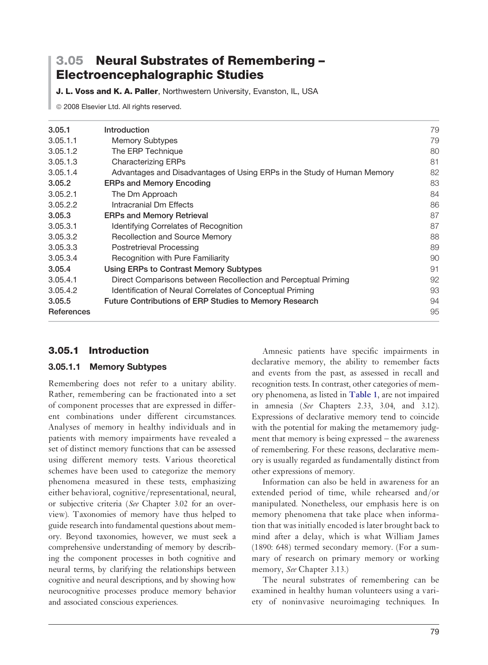# 3.05 Neural Substrates of Remembering – Electroencephalographic Studies

J. L. Voss and K. A. Paller, Northwestern University, Evanston, IL, USA

© 2008 Elsevier Ltd. All rights reserved.

| 3.05.1     | <b>Introduction</b>                                                     | 79 |
|------------|-------------------------------------------------------------------------|----|
| 3.05.1.1   | <b>Memory Subtypes</b>                                                  | 79 |
| 3.05.1.2   | The ERP Technique                                                       | 80 |
| 3.05.1.3   | <b>Characterizing ERPs</b>                                              | 81 |
| 3.05.1.4   | Advantages and Disadvantages of Using ERPs in the Study of Human Memory | 82 |
| 3.05.2     | <b>ERPs and Memory Encoding</b>                                         | 83 |
| 3.05.2.1   | The Dm Approach                                                         | 84 |
| 3.05.2.2   | Intracranial Dm Effects                                                 | 86 |
| 3.05.3     | <b>ERPs and Memory Retrieval</b>                                        | 87 |
| 3.05.3.1   | <b>Identifying Correlates of Recognition</b>                            | 87 |
| 3.05.3.2   | Recollection and Source Memory                                          | 88 |
| 3.05.3.3   | Postretrieval Processing                                                | 89 |
| 3.05.3.4   | Recognition with Pure Familiarity                                       | 90 |
| 3.05.4     | Using ERPs to Contrast Memory Subtypes                                  | 91 |
| 3.05.4.1   | Direct Comparisons between Recollection and Perceptual Priming          | 92 |
| 3.05.4.2   | Identification of Neural Correlates of Conceptual Priming               | 93 |
| 3.05.5     | <b>Future Contributions of ERP Studies to Memory Research</b>           | 94 |
| References |                                                                         | 95 |
|            |                                                                         |    |

# 3.05.1 Introduction

# 3.05.1.1 Memory Subtypes

Remembering does not refer to a unitary ability. Rather, remembering can be fractionated into a set of component processes that are expressed in different combinations under different circumstances. Analyses of memory in healthy individuals and in patients with memory impairments have revealed a set of distinct memory functions that can be assessed using different memory tests. Various theoretical schemes have been used to categorize the memory phenomena measured in these tests, emphasizing either behavioral, cognitive/representational, neural, or subjective criteria (*See* Chapter 3.02 for an overview). Taxonomies of memory have thus helped to guide research into fundamental questions about memory. Beyond taxonomies, however, we must seek a comprehensive understanding of memory by describing the component processes in both cognitive and neural terms, by clarifying the relationships between cognitive and neural descriptions, and by showing how neurocognitive processes produce memory behavior and associated conscious experiences.

Amnesic patients have specific impairments in declarative memory, the ability to remember facts and events from the past, as assessed in recall and recognition tests. In contrast, other categories of memory phenomena, as listed in **[Table 1](#page-1-0)**, are not impaired in amnesia (*See* Chapters 2.33, 3.04, and 3.12). Expressions of declarative memory tend to coincide with the potential for making the metamemory judgment that memory is being expressed – the awareness of remembering. For these reasons, declarative memory is usually regarded as fundamentally distinct from other expressions of memory.

Information can also be held in awareness for an extended period of time, while rehearsed and/or manipulated. Nonetheless, our emphasis here is on memory phenomena that take place when information that was initially encoded is later brought back to mind after a delay, which is what William James (1890: 648) termed secondary memory. (For a summary of research on primary memory or working memory, *See* Chapter 3.13.)

The neural substrates of remembering can be examined in healthy human volunteers using a variety of noninvasive neuroimaging techniques. In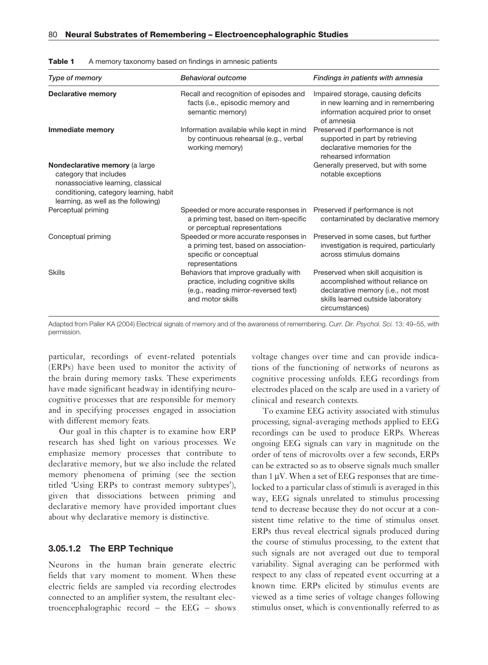| Type of memory                                                                                                                                                                  | Behavioral outcome                                                                                                                        | Findings in patients with amnesia                                                                                                                                    |  |  |
|---------------------------------------------------------------------------------------------------------------------------------------------------------------------------------|-------------------------------------------------------------------------------------------------------------------------------------------|----------------------------------------------------------------------------------------------------------------------------------------------------------------------|--|--|
| <b>Declarative memory</b>                                                                                                                                                       | Recall and recognition of episodes and<br>facts (i.e., episodic memory and<br>semantic memory)                                            | Impaired storage, causing deficits<br>in new learning and in remembering<br>information acquired prior to onset<br>of amnesia                                        |  |  |
| Immediate memory                                                                                                                                                                | Information available while kept in mind<br>by continuous rehearsal (e.g., verbal<br>working memory)                                      | Preserved if performance is not<br>supported in part by retrieving<br>declarative memories for the<br>rehearsed information                                          |  |  |
| Nondeclarative memory (a large<br>category that includes<br>nonassociative learning, classical<br>conditioning, category learning, habit<br>learning, as well as the following) |                                                                                                                                           | Generally preserved, but with some<br>notable exceptions                                                                                                             |  |  |
| Perceptual priming                                                                                                                                                              | Speeded or more accurate responses in<br>a priming test, based on item-specific<br>or perceptual representations                          | Preserved if performance is not<br>contaminated by declarative memory                                                                                                |  |  |
| Conceptual priming                                                                                                                                                              | Speeded or more accurate responses in<br>a priming test, based on association-<br>specific or conceptual<br>representations               | Preserved in some cases, but further<br>investigation is required, particularly<br>across stimulus domains                                                           |  |  |
| Skills                                                                                                                                                                          | Behaviors that improve gradually with<br>practice, including cognitive skills<br>(e.g., reading mirror-reversed text)<br>and motor skills | Preserved when skill acquisition is<br>accomplished without reliance on<br>declarative memory (i.e., not most<br>skills learned outside laboratory<br>circumstances) |  |  |

<span id="page-1-0"></span>

| Table 1 |  |  |  |  | A memory taxonomy based on findings in amnesic patients |  |
|---------|--|--|--|--|---------------------------------------------------------|--|
|---------|--|--|--|--|---------------------------------------------------------|--|

Adapted from Paller KA (2004) Electrical signals of memory and of the awareness of remembering. Curr. Dir. Psychol. Sci. 13: 49-55, with permission.

particular, recordings of event-related potentials (ERPs) have been used to monitor the activity of the brain during memory tasks. These experiments have made significant headway in identifying neurocognitive processes that are responsible for memory and in specifying processes engaged in association with different memory feats.

Our goal in this chapter is to examine how ERP research has shed light on various processes. We emphasize memory processes that contribute to declarative memory, but we also include the related memory phenomena of priming (see the section titled 'Using ERPs to contrast memory subtypes'), given that dissociations between priming and declarative memory have provided important clues about why declarative memory is distinctive.

#### 3.05.1.2 The ERP Technique

Neurons in the human brain generate electric fields that vary moment to moment. When these electric fields are sampled via recording electrodes connected to an amplifier system, the resultant electroencephalographic record – the EEG – shows voltage changes over time and can provide indications of the functioning of networks of neurons as cognitive processing unfolds. EEG recordings from electrodes placed on the scalp are used in a variety of clinical and research contexts.

To examine EEG activity associated with stimulus processing, signal-averaging methods applied to EEG recordings can be used to produce ERPs. Whereas ongoing EEG signals can vary in magnitude on the order of tens of microvolts over a few seconds, ERPs can be extracted so as to observe signals much smaller than  $1 \mu V$ . When a set of EEG responses that are timelocked to a particular class of stimuli is averaged in this way, EEG signals unrelated to stimulus processing tend to decrease because they do not occur at a consistent time relative to the time of stimulus onset. ERPs thus reveal electrical signals produced during the course of stimulus processing, to the extent that such signals are not averaged out due to temporal variability. Signal averaging can be performed with respect to any class of repeated event occurring at a known time. ERPs elicited by stimulus events are viewed as a time series of voltage changes following stimulus onset, which is conventionally referred to as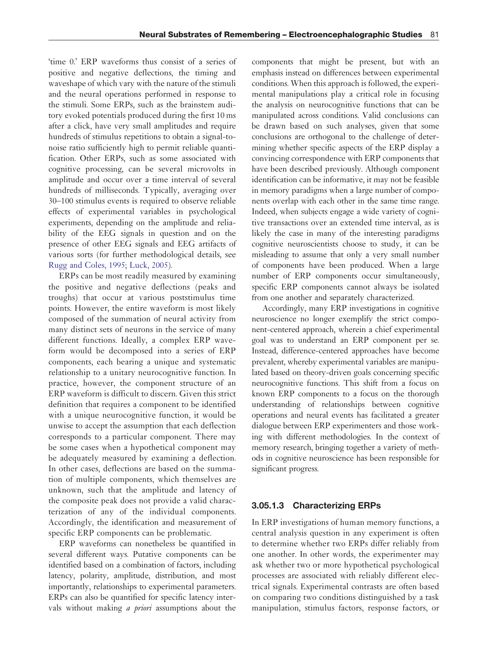'time 0.' ERP waveforms thus consist of a series of positive and negative deflections, the timing and waveshape of which vary with the nature of the stimuli and the neural operations performed in response to the stimuli. Some ERPs, such as the brainstem auditory evoked potentials produced during the first 10 ms after a click, have very small amplitudes and require hundreds of stimulus repetitions to obtain a signal-tonoise ratio sufficiently high to permit reliable quantification. Other ERPs, such as some associated with cognitive processing, can be several microvolts in amplitude and occur over a time interval of several hundreds of milliseconds. Typically, averaging over 30–100 stimulus events is required to observe reliable effects of experimental variables in psychological experiments, depending on the amplitude and reliability of the EEG signals in question and on the presence of other EEG signals and EEG artifacts of various sorts (for further methodological details, see [Rugg and Coles, 1995;](#page-17-0) [Luck, 2005\)](#page-17-0).

ERPs can be most readily measured by examining the positive and negative deflections (peaks and troughs) that occur at various poststimulus time points. However, the entire waveform is most likely composed of the summation of neural activity from many distinct sets of neurons in the service of many different functions. Ideally, a complex ERP waveform would be decomposed into a series of ERP components, each bearing a unique and systematic relationship to a unitary neurocognitive function. In practice, however, the component structure of an ERP waveform is difficult to discern. Given this strict definition that requires a component to be identified with a unique neurocognitive function, it would be unwise to accept the assumption that each deflection corresponds to a particular component. There may be some cases when a hypothetical component may be adequately measured by examining a deflection. In other cases, deflections are based on the summation of multiple components, which themselves are unknown, such that the amplitude and latency of the composite peak does not provide a valid characterization of any of the individual components. Accordingly, the identification and measurement of specific ERP components can be problematic.

ERP waveforms can nonetheless be quantified in several different ways. Putative components can be identified based on a combination of factors, including latency, polarity, amplitude, distribution, and most importantly, relationships to experimental parameters. ERPs can also be quantified for specific latency intervals without making *a priori* assumptions about the components that might be present, but with an emphasis instead on differences between experimental conditions. When this approach is followed, the experimental manipulations play a critical role in focusing the analysis on neurocognitive functions that can be manipulated across conditions. Valid conclusions can be drawn based on such analyses, given that some conclusions are orthogonal to the challenge of determining whether specific aspects of the ERP display a convincing correspondence with ERP components that have been described previously. Although component identification can be informative, it may not be feasible in memory paradigms when a large number of components overlap with each other in the same time range. Indeed, when subjects engage a wide variety of cognitive transactions over an extended time interval, as is likely the case in many of the interesting paradigms cognitive neuroscientists choose to study, it can be misleading to assume that only a very small number of components have been produced. When a large number of ERP components occur simultaneously, specific ERP components cannot always be isolated from one another and separately characterized.

Accordingly, many ERP investigations in cognitive neuroscience no longer exemplify the strict component-centered approach, wherein a chief experimental goal was to understand an ERP component per se. Instead, difference-centered approaches have become prevalent, whereby experimental variables are manipulated based on theory-driven goals concerning specific neurocognitive functions. This shift from a focus on known ERP components to a focus on the thorough understanding of relationships between cognitive operations and neural events has facilitated a greater dialogue between ERP experimenters and those working with different methodologies. In the context of memory research, bringing together a variety of methods in cognitive neuroscience has been responsible for significant progress.

#### 3.05.1.3 Characterizing ERPs

In ERP investigations of human memory functions, a central analysis question in any experiment is often to determine whether two ERPs differ reliably from one another. In other words, the experimenter may ask whether two or more hypothetical psychological processes are associated with reliably different electrical signals. Experimental contrasts are often based on comparing two conditions distinguished by a task manipulation, stimulus factors, response factors, or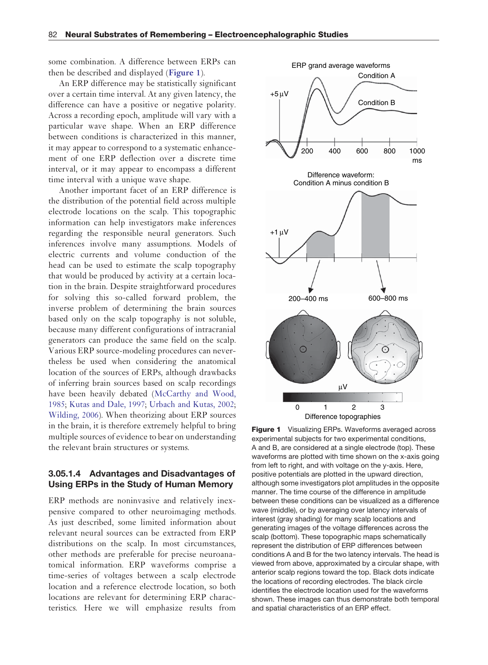some combination. A difference between ERPs can then be described and displayed (**Figure 1**).

An ERP difference may be statistically significant over a certain time interval. At any given latency, the difference can have a positive or negative polarity. Across a recording epoch, amplitude will vary with a particular wave shape. When an ERP difference between conditions is characterized in this manner, it may appear to correspond to a systematic enhancement of one ERP deflection over a discrete time interval, or it may appear to encompass a different time interval with a unique wave shape.

Another important facet of an ERP difference is the distribution of the potential field across multiple electrode locations on the scalp. This topographic information can help investigators make inferences regarding the responsible neural generators. Such inferences involve many assumptions. Models of electric currents and volume conduction of the head can be used to estimate the scalp topography that would be produced by activity at a certain location in the brain. Despite straightforward procedures for solving this so-called forward problem, the inverse problem of determining the brain sources based only on the scalp topography is not soluble, because many different configurations of intracranial generators can produce the same field on the scalp. Various ERP source-modeling procedures can nevertheless be used when considering the anatomical location of the sources of ERPs, although drawbacks of inferring brain sources based on scalp recordings have been heavily debated [\(McCarthy and Wood,](#page-17-0) [1985;](#page-17-0) [Kutas and Dale, 1997;](#page-17-0) [Urbach and Kutas, 2002](#page-18-0); [Wilding, 2006\)](#page-18-0). When theorizing about ERP sources in the brain, it is therefore extremely helpful to bring multiple sources of evidence to bear on understanding the relevant brain structures or systems.

## 3.05.1.4 Advantages and Disadvantages of Using ERPs in the Study of Human Memory

ERP methods are noninvasive and relatively inexpensive compared to other neuroimaging methods. As just described, some limited information about relevant neural sources can be extracted from ERP distributions on the scalp. In most circumstances, other methods are preferable for precise neuroanatomical information. ERP waveforms comprise a time-series of voltages between a scalp electrode location and a reference electrode location, so both locations are relevant for determining ERP characteristics. Here we will emphasize results from



**Figure 1** Visualizing ERPs. Waveforms averaged across experimental subjects for two experimental conditions, A and B, are considered at a single electrode (top). These waveforms are plotted with time shown on the x-axis going from left to right, and with voltage on the y-axis. Here, positive potentials are plotted in the upward direction, although some investigators plot amplitudes in the opposite manner. The time course of the difference in amplitude between these conditions can be visualized as a difference wave (middle), or by averaging over latency intervals of interest (gray shading) for many scalp locations and generating images of the voltage differences across the scalp (bottom). These topographic maps schematically represent the distribution of ERP differences between conditions A and B for the two latency intervals. The head is viewed from above, approximated by a circular shape, with anterior scalp regions toward the top. Black dots indicate the locations of recording electrodes. The black circle identifies the electrode location used for the waveforms shown. These images can thus demonstrate both temporal and spatial characteristics of an ERP effect.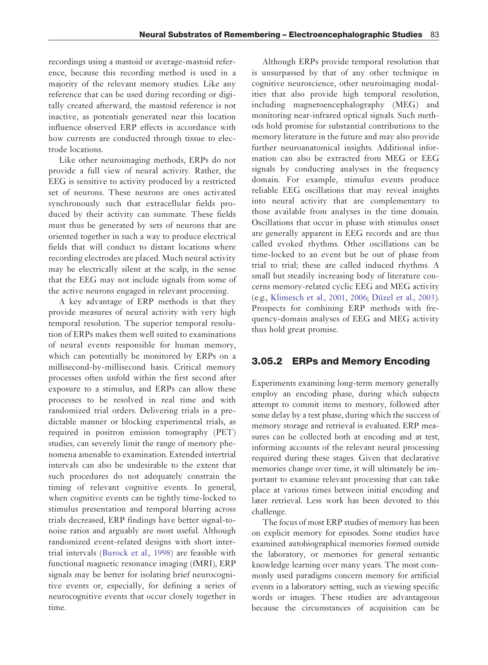recordings using a mastoid or average-mastoid reference, because this recording method is used in a majority of the relevant memory studies. Like any reference that can be used during recording or digitally created afterward, the mastoid reference is not inactive, as potentials generated near this location influence observed ERP effects in accordance with how currents are conducted through tissue to electrode locations.

Like other neuroimaging methods, ERPs do not provide a full view of neural activity. Rather, the EEG is sensitive to activity produced by a restricted set of neurons. These neurons are ones activated synchronously such that extracellular fields produced by their activity can summate. These fields must thus be generated by sets of neurons that are oriented together in such a way to produce electrical fields that will conduct to distant locations where recording electrodes are placed. Much neural activity may be electrically silent at the scalp, in the sense that the EEG may not include signals from some of the active neurons engaged in relevant processing.

A key advantage of ERP methods is that they provide measures of neural activity with very high temporal resolution. The superior temporal resolution of ERPs makes them well suited to examinations of neural events responsible for human memory, which can potentially be monitored by ERPs on a millisecond-by-millisecond basis. Critical memory processes often unfold within the first second after exposure to a stimulus, and ERPs can allow these processes to be resolved in real time and with randomized trial orders. Delivering trials in a predictable manner or blocking experimental trials, as required in positron emission tomography (PET) studies, can severely limit the range of memory phenomena amenable to examination. Extended intertrial intervals can also be undesirable to the extent that such procedures do not adequately constrain the timing of relevant cognitive events. In general, when cognitive events can be tightly time-locked to stimulus presentation and temporal blurring across trials decreased, ERP findings have better signal-tonoise ratios and arguably are most useful. Although randomized event-related designs with short intertrial intervals [\(Burock et al., 1998](#page-16-0)) are feasible with functional magnetic resonance imaging (fMRI), ERP signals may be better for isolating brief neurocognitive events or, especially, for defining a series of neurocognitive events that occur closely together in time.

Although ERPs provide temporal resolution that is unsurpassed by that of any other technique in cognitive neuroscience, other neuroimaging modalities that also provide high temporal resolution, including magnetoencephalography (MEG) and monitoring near-infrared optical signals. Such methods hold promise for substantial contributions to the memory literature in the future and may also provide further neuroanatomical insights. Additional information can also be extracted from MEG or EEG signals by conducting analyses in the frequency domain. For example, stimulus events produce reliable EEG oscillations that may reveal insights into neural activity that are complementary to those available from analyses in the time domain. Oscillations that occur in phase with stimulus onset are generally apparent in EEG records and are thus called evoked rhythms. Other oscillations can be time-locked to an event but be out of phase from trial to trial; these are called induced rhythms. A small but steadily increasing body of literature concerns memory-related cyclic EEG and MEG activity (e.g., [Klimesch et al., 2001,](#page-17-0) [2006;](#page-17-0) Düzel et al., 2003). Prospects for combining ERP methods with frequency-domain analyses of EEG and MEG activity thus hold great promise.

#### 3.05.2 ERPs and Memory Encoding

Experiments examining long-term memory generally employ an encoding phase, during which subjects attempt to commit items to memory, followed after some delay by a test phase, during which the success of memory storage and retrieval is evaluated. ERP measures can be collected both at encoding and at test, informing accounts of the relevant neural processing required during these stages. Given that declarative memories change over time, it will ultimately be important to examine relevant processing that can take place at various times between initial encoding and later retrieval. Less work has been devoted to this challenge.

The focus of most ERP studies of memory has been on explicit memory for episodes. Some studies have examined autobiographical memories formed outside the laboratory, or memories for general semantic knowledge learning over many years. The most commonly used paradigms concern memory for artificial events in a laboratory setting, such as viewing specific words or images. These studies are advantageous because the circumstances of acquisition can be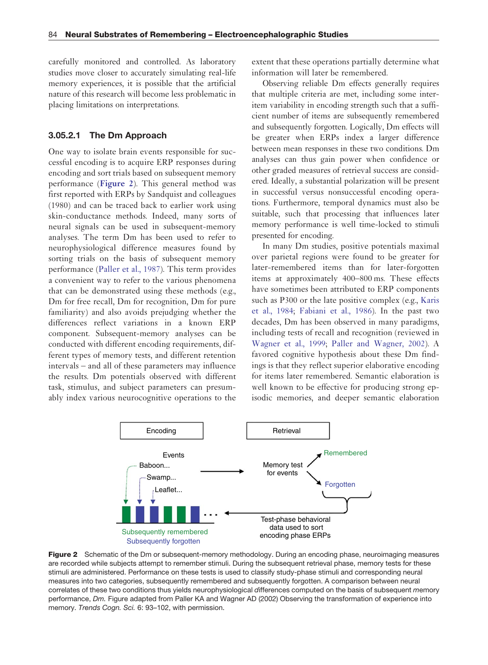carefully monitored and controlled. As laboratory studies move closer to accurately simulating real-life memory experiences, it is possible that the artificial nature of this research will become less problematic in placing limitations on interpretations.

#### 3.05.2.1 The Dm Approach

One way to isolate brain events responsible for successful encoding is to acquire ERP responses during encoding and sort trials based on subsequent memory performance (**Figure 2**). This general method was first reported with ERPs by Sandquist and colleagues (1980) and can be traced back to earlier work using skin-conductance methods. Indeed, many sorts of neural signals can be used in subsequent-memory analyses. The term Dm has been used to refer to neurophysiological difference measures found by sorting trials on the basis of subsequent memory performance ([Paller et al., 1987\)](#page-17-0). This term provides a convenient way to refer to the various phenomena that can be demonstrated using these methods (e.g., Dm for free recall, Dm for recognition, Dm for pure familiarity) and also avoids prejudging whether the differences reflect variations in a known ERP component. Subsequent-memory analyses can be conducted with different encoding requirements, different types of memory tests, and different retention intervals – and all of these parameters may influence the results. Dm potentials observed with different task, stimulus, and subject parameters can presumably index various neurocognitive operations to the extent that these operations partially determine what information will later be remembered.

Observing reliable Dm effects generally requires that multiple criteria are met, including some interitem variability in encoding strength such that a sufficient number of items are subsequently remembered and subsequently forgotten. Logically, Dm effects will be greater when ERPs index a larger difference between mean responses in these two conditions. Dm analyses can thus gain power when confidence or other graded measures of retrieval success are considered. Ideally, a substantial polarization will be present in successful versus nonsuccessful encoding operations. Furthermore, temporal dynamics must also be suitable, such that processing that influences later memory performance is well time-locked to stimuli presented for encoding.

In many Dm studies, positive potentials maximal over parietal regions were found to be greater for later-remembered items than for later-forgotten items at approximately 400–800 ms. These effects have sometimes been attributed to ERP components such as P300 or the late positive complex (e.g., [Karis](#page-17-0) [et al., 1984](#page-17-0); [Fabiani et al., 1986\)](#page-16-0). In the past two decades, Dm has been observed in many paradigms, including tests of recall and recognition (reviewed in [Wagner et al., 1999](#page-18-0); [Paller and Wagner, 2002](#page-17-0)). A favored cognitive hypothesis about these Dm findings is that they reflect superior elaborative encoding for items later remembered. Semantic elaboration is well known to be effective for producing strong episodic memories, and deeper semantic elaboration



Figure 2 Schematic of the Dm or subsequent-memory methodology. During an encoding phase, neuroimaging measures are recorded while subjects attempt to remember stimuli. During the subsequent retrieval phase, memory tests for these stimuli are administered. Performance on these tests is used to classify study-phase stimuli and corresponding neural measures into two categories, subsequently remembered and subsequently forgotten. A comparison between neural correlates of these two conditions thus yields neurophysiological differences computed on the basis of subsequent memory performance, Dm. Figure adapted from Paller KA and Wagner AD (2002) Observing the transformation of experience into memory. Trends Cogn. Sci. 6: 93–102, with permission.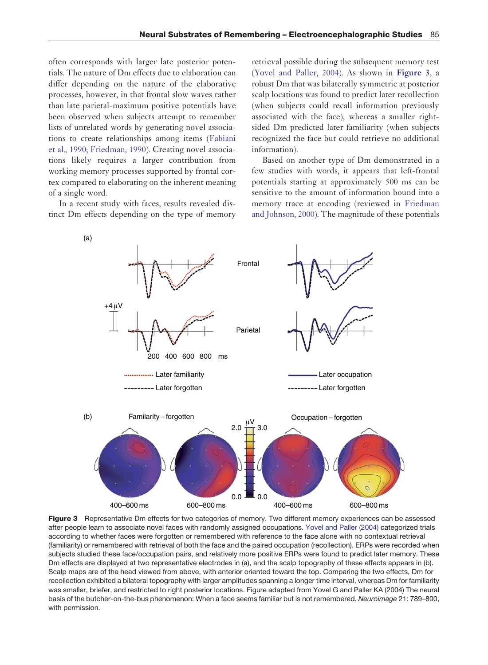often corresponds with larger late posterior potentials. The nature of Dm effects due to elaboration can differ depending on the nature of the elaborative processes, however, in that frontal slow waves rather than late parietal-maximum positive potentials have been observed when subjects attempt to remember lists of unrelated words by generating novel associations to create relationships among items ([Fabiani](#page-16-0) [et al., 1990](#page-16-0); [Friedman, 1990\)](#page-16-0). Creating novel associations likely requires a larger contribution from working memory processes supported by frontal cortex compared to elaborating on the inherent meaning of a single word.

In a recent study with faces, results revealed distinct Dm effects depending on the type of memory retrieval possible during the subsequent memory test [\(Yovel and Paller, 2004](#page-18-0)). As shown in **Figure 3**, a robust Dm that was bilaterally symmetric at posterior scalp locations was found to predict later recollection (when subjects could recall information previously associated with the face), whereas a smaller rightsided Dm predicted later familiarity (when subjects recognized the face but could retrieve no additional information).

Based on another type of Dm demonstrated in a few studies with words, it appears that left-frontal potentials starting at approximately 500 ms can be sensitive to the amount of information bound into a memory trace at encoding (reviewed in [Friedman](#page-16-0) [and Johnson, 2000\)](#page-16-0). The magnitude of these potentials



Figure 3 Representative Dm effects for two categories of memory. Two different memory experiences can be assessed after people learn to associate novel faces with randomly assigned occupations. [Yovel and Paller \(2004\)](#page-18-0) categorized trials according to whether faces were forgotten or remembered with reference to the face alone with no contextual retrieval (familiarity) or remembered with retrieval of both the face and the paired occupation (recollection). ERPs were recorded when subjects studied these face/occupation pairs, and relatively more positive ERPs were found to predict later memory. These Dm effects are displayed at two representative electrodes in (a), and the scalp topography of these effects appears in (b). Scalp maps are of the head viewed from above, with anterior oriented toward the top. Comparing the two effects, Dm for recollection exhibited a bilateral topography with larger amplitudes spanning a longer time interval, whereas Dm for familiarity was smaller, briefer, and restricted to right posterior locations. Figure adapted from Yovel G and Paller KA (2004) The neural basis of the butcher-on-the-bus phenomenon: When a face seems familiar but is not remembered. Neuroimage 21: 789–800, with permission.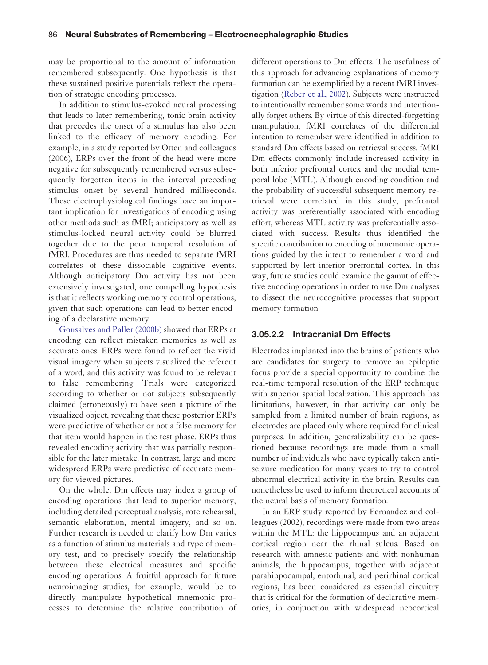may be proportional to the amount of information remembered subsequently. One hypothesis is that these sustained positive potentials reflect the operation of strategic encoding processes.

In addition to stimulus-evoked neural processing that leads to later remembering, tonic brain activity that precedes the onset of a stimulus has also been linked to the efficacy of memory encoding. For example, in a study reported by Otten and colleagues (2006), ERPs over the front of the head were more negative for subsequently remembered versus subsequently forgotten items in the interval preceding stimulus onset by several hundred milliseconds. These electrophysiological findings have an important implication for investigations of encoding using other methods such as fMRI; anticipatory as well as stimulus-locked neural activity could be blurred together due to the poor temporal resolution of fMRI. Procedures are thus needed to separate fMRI correlates of these dissociable cognitive events. Although anticipatory Dm activity has not been extensively investigated, one compelling hypothesis is that it reflects working memory control operations, given that such operations can lead to better encoding of a declarative memory.

[Gonsalves and Paller \(2000b\)](#page-16-0) showed that ERPs at encoding can reflect mistaken memories as well as accurate ones. ERPs were found to reflect the vivid visual imagery when subjects visualized the referent of a word, and this activity was found to be relevant to false remembering. Trials were categorized according to whether or not subjects subsequently claimed (erroneously) to have seen a picture of the visualized object, revealing that these posterior ERPs were predictive of whether or not a false memory for that item would happen in the test phase. ERPs thus revealed encoding activity that was partially responsible for the later mistake. In contrast, large and more widespread ERPs were predictive of accurate memory for viewed pictures.

On the whole, Dm effects may index a group of encoding operations that lead to superior memory, including detailed perceptual analysis, rote rehearsal, semantic elaboration, mental imagery, and so on. Further research is needed to clarify how Dm varies as a function of stimulus materials and type of memory test, and to precisely specify the relationship between these electrical measures and specific encoding operations. A fruitful approach for future neuroimaging studies, for example, would be to directly manipulate hypothetical mnemonic processes to determine the relative contribution of different operations to Dm effects. The usefulness of this approach for advancing explanations of memory formation can be exemplified by a recent fMRI investigation ([Reber et al., 2002\)](#page-17-0). Subjects were instructed to intentionally remember some words and intentionally forget others. By virtue of this directed-forgetting manipulation, fMRI correlates of the differential intention to remember were identified in addition to standard Dm effects based on retrieval success. fMRI Dm effects commonly include increased activity in both inferior prefrontal cortex and the medial temporal lobe (MTL). Although encoding condition and the probability of successful subsequent memory retrieval were correlated in this study, prefrontal activity was preferentially associated with encoding effort, whereas MTL activity was preferentially associated with success. Results thus identified the specific contribution to encoding of mnemonic operations guided by the intent to remember a word and supported by left inferior prefrontal cortex. In this way, future studies could examine the gamut of effective encoding operations in order to use Dm analyses to dissect the neurocognitive processes that support memory formation.

#### 3.05.2.2 Intracranial Dm Effects

Electrodes implanted into the brains of patients who are candidates for surgery to remove an epileptic focus provide a special opportunity to combine the real-time temporal resolution of the ERP technique with superior spatial localization. This approach has limitations, however, in that activity can only be sampled from a limited number of brain regions, as electrodes are placed only where required for clinical purposes. In addition, generalizability can be questioned because recordings are made from a small number of individuals who have typically taken antiseizure medication for many years to try to control abnormal electrical activity in the brain. Results can nonetheless be used to inform theoretical accounts of the neural basis of memory formation.

In an ERP study reported by Fernandez and colleagues (2002), recordings were made from two areas within the MTL: the hippocampus and an adjacent cortical region near the rhinal sulcus. Based on research with amnesic patients and with nonhuman animals, the hippocampus, together with adjacent parahippocampal, entorhinal, and perirhinal cortical regions, has been considered as essential circuitry that is critical for the formation of declarative memories, in conjunction with widespread neocortical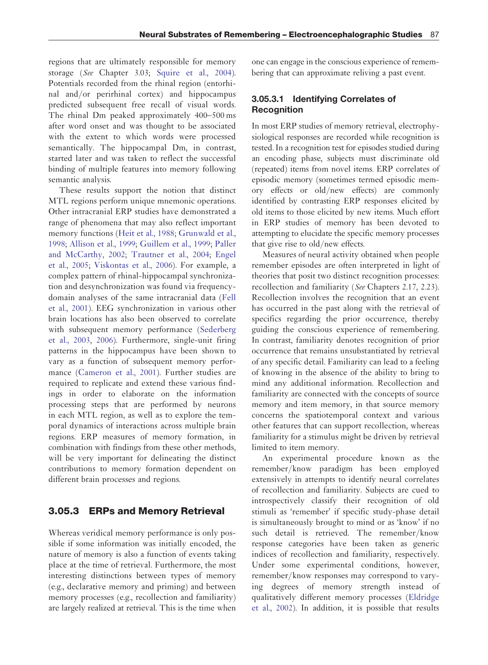regions that are ultimately responsible for memory storage (*See* Chapter 3.03; [Squire et al., 2004](#page-18-0)). Potentials recorded from the rhinal region (entorhinal and/or perirhinal cortex) and hippocampus predicted subsequent free recall of visual words. The rhinal Dm peaked approximately 400–500 ms after word onset and was thought to be associated with the extent to which words were processed semantically. The hippocampal Dm, in contrast, started later and was taken to reflect the successful binding of multiple features into memory following semantic analysis.

These results support the notion that distinct MTL regions perform unique mnemonic operations. Other intracranial ERP studies have demonstrated a range of phenomena that may also reflect important memory functions [\(Heit et al., 1988;](#page-16-0) [Grunwald et al.,](#page-16-0) [1998;](#page-16-0) [Allison et al., 1999](#page-16-0); [Guillem et al., 1999;](#page-16-0) [Paller](#page-17-0) [and McCarthy, 2002;](#page-17-0) [Trautner et al., 2004;](#page-18-0) [Engel](#page-16-0) [et al., 2005;](#page-16-0) [Viskontas et al., 2006](#page-18-0)). For example, a complex pattern of rhinal-hippocampal synchronization and desynchronization was found via frequencydomain analyses of the same intracranial data ([Fell](#page-16-0) [et al., 2001\)](#page-16-0). EEG synchronization in various other brain locations has also been observed to correlate with subsequent memory performance [\(Sederberg](#page-17-0) [et al., 2003,](#page-17-0) [2006](#page-17-0)). Furthermore, single-unit firing patterns in the hippocampus have been shown to vary as a function of subsequent memory performance [\(Cameron et al., 2001\)](#page-16-0). Further studies are required to replicate and extend these various findings in order to elaborate on the information processing steps that are performed by neurons in each MTL region, as well as to explore the temporal dynamics of interactions across multiple brain regions. ERP measures of memory formation, in combination with findings from these other methods, will be very important for delineating the distinct contributions to memory formation dependent on different brain processes and regions.

#### 3.05.3 ERPs and Memory Retrieval

Whereas veridical memory performance is only possible if some information was initially encoded, the nature of memory is also a function of events taking place at the time of retrieval. Furthermore, the most interesting distinctions between types of memory (e.g., declarative memory and priming) and between memory processes (e.g., recollection and familiarity) are largely realized at retrieval. This is the time when one can engage in the conscious experience of remembering that can approximate reliving a past event.

### 3.05.3.1 Identifying Correlates of **Recognition**

In most ERP studies of memory retrieval, electrophysiological responses are recorded while recognition is tested. In a recognition test for episodes studied during an encoding phase, subjects must discriminate old (repeated) items from novel items. ERP correlates of episodic memory (sometimes termed episodic memory effects or old/new effects) are commonly identified by contrasting ERP responses elicited by old items to those elicited by new items. Much effort in ERP studies of memory has been devoted to attempting to elucidate the specific memory processes that give rise to old/new effects.

Measures of neural activity obtained when people remember episodes are often interpreted in light of theories that posit two distinct recognition processes: recollection and familiarity (*See* Chapters 2.17, 2.23). Recollection involves the recognition that an event has occurred in the past along with the retrieval of specifics regarding the prior occurrence, thereby guiding the conscious experience of remembering. In contrast, familiarity denotes recognition of prior occurrence that remains unsubstantiated by retrieval of any specific detail. Familiarity can lead to a feeling of knowing in the absence of the ability to bring to mind any additional information. Recollection and familiarity are connected with the concepts of source memory and item memory, in that source memory concerns the spatiotemporal context and various other features that can support recollection, whereas familiarity for a stimulus might be driven by retrieval limited to item memory.

An experimental procedure known as the remember/know paradigm has been employed extensively in attempts to identify neural correlates of recollection and familiarity. Subjects are cued to introspectively classify their recognition of old stimuli as 'remember' if specific study-phase detail is simultaneously brought to mind or as 'know' if no such detail is retrieved. The remember/know response categories have been taken as generic indices of recollection and familiarity, respectively. Under some experimental conditions, however, remember/know responses may correspond to varying degrees of memory strength instead of qualitatively different memory processes ([Eldridge](#page-16-0) [et al., 2002\)](#page-16-0). In addition, it is possible that results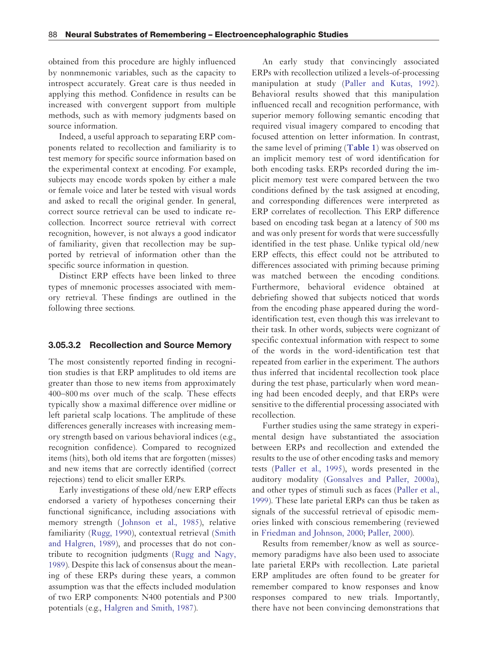obtained from this procedure are highly influenced by nonmnemonic variables, such as the capacity to introspect accurately. Great care is thus needed in applying this method. Confidence in results can be increased with convergent support from multiple methods, such as with memory judgments based on source information.

Indeed, a useful approach to separating ERP components related to recollection and familiarity is to test memory for specific source information based on the experimental context at encoding. For example, subjects may encode words spoken by either a male or female voice and later be tested with visual words and asked to recall the original gender. In general, correct source retrieval can be used to indicate recollection. Incorrect source retrieval with correct recognition, however, is not always a good indicator of familiarity, given that recollection may be supported by retrieval of information other than the specific source information in question.

Distinct ERP effects have been linked to three types of mnemonic processes associated with memory retrieval. These findings are outlined in the following three sections.

#### 3.05.3.2 Recollection and Source Memory

The most consistently reported finding in recognition studies is that ERP amplitudes to old items are greater than those to new items from approximately 400–800 ms over much of the scalp. These effects typically show a maximal difference over midline or left parietal scalp locations. The amplitude of these differences generally increases with increasing memory strength based on various behavioral indices (e.g., recognition confidence). Compared to recognized items (hits), both old items that are forgotten (misses) and new items that are correctly identified (correct rejections) tend to elicit smaller ERPs.

Early investigations of these old/new ERP effects endorsed a variety of hypotheses concerning their functional significance, including associations with memory strength ( [Johnson et al., 1985](#page-17-0)), relative familiarity ([Rugg, 1990\)](#page-17-0), contextual retrieval ([Smith](#page-18-0) [and Halgren, 1989\)](#page-18-0), and processes that do not contribute to recognition judgments [\(Rugg and Nagy,](#page-17-0) [1989\)](#page-17-0). Despite this lack of consensus about the meaning of these ERPs during these years, a common assumption was that the effects included modulation of two ERP components: N400 potentials and P300 potentials (e.g., [Halgren and Smith, 1987\)](#page-16-0).

An early study that convincingly associated ERPs with recollection utilized a levels-of-processing manipulation at study ([Paller and Kutas, 1992](#page-17-0)). Behavioral results showed that this manipulation influenced recall and recognition performance, with superior memory following semantic encoding that required visual imagery compared to encoding that focused attention on letter information. In contrast, the same level of priming (**[Table 1](#page-1-0)**) was observed on an implicit memory test of word identification for both encoding tasks. ERPs recorded during the implicit memory test were compared between the two conditions defined by the task assigned at encoding, and corresponding differences were interpreted as ERP correlates of recollection. This ERP difference based on encoding task began at a latency of 500 ms and was only present for words that were successfully identified in the test phase. Unlike typical old/new ERP effects, this effect could not be attributed to differences associated with priming because priming was matched between the encoding conditions. Furthermore, behavioral evidence obtained at debriefing showed that subjects noticed that words from the encoding phase appeared during the wordidentification test, even though this was irrelevant to their task. In other words, subjects were cognizant of specific contextual information with respect to some of the words in the word-identification test that repeated from earlier in the experiment. The authors thus inferred that incidental recollection took place during the test phase, particularly when word meaning had been encoded deeply, and that ERPs were sensitive to the differential processing associated with recollection.

Further studies using the same strategy in experimental design have substantiated the association between ERPs and recollection and extended the results to the use of other encoding tasks and memory tests [\(Paller et al., 1995](#page-17-0)), words presented in the auditory modality [\(Gonsalves and Paller, 2000a](#page-16-0)), and other types of stimuli such as faces ([Paller et al.,](#page-17-0) [1999\)](#page-17-0). These late parietal ERPs can thus be taken as signals of the successful retrieval of episodic memories linked with conscious remembering (reviewed in [Friedman and Johnson, 2000;](#page-16-0) [Paller, 2000](#page-17-0)).

Results from remember/know as well as sourcememory paradigms have also been used to associate late parietal ERPs with recollection. Late parietal ERP amplitudes are often found to be greater for remember compared to know responses and know responses compared to new trials. Importantly, there have not been convincing demonstrations that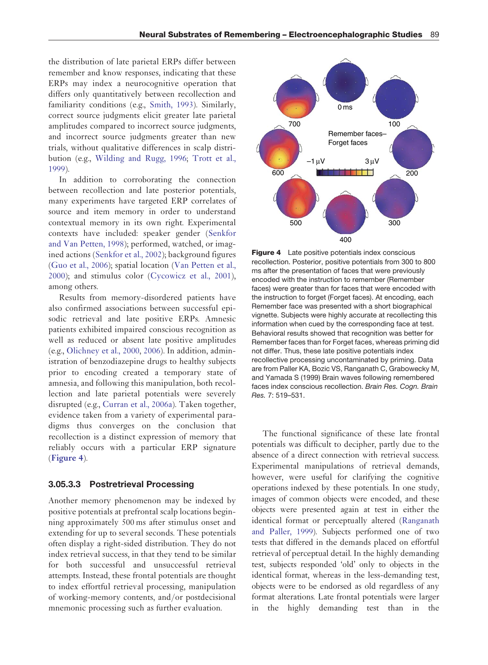the distribution of late parietal ERPs differ between remember and know responses, indicating that these ERPs may index a neurocognitive operation that differs only quantitatively between recollection and familiarity conditions (e.g., [Smith, 1993\)](#page-18-0). Similarly, correct source judgments elicit greater late parietal amplitudes compared to incorrect source judgments, and incorrect source judgments greater than new trials, without qualitative differences in scalp distribution (e.g., [Wilding and Rugg, 1996](#page-18-0); [Trott et al.,](#page-18-0) [1999\)](#page-18-0).

In addition to corroborating the connection between recollection and late posterior potentials, many experiments have targeted ERP correlates of source and item memory in order to understand contextual memory in its own right. Experimental contexts have included: speaker gender ([Senkfor](#page-17-0) [and Van Petten, 1998](#page-17-0)); performed, watched, or imagined actions [\(Senkfor et al., 2002\)](#page-17-0); background figures [\(Guo et al., 2006](#page-16-0)); spatial location ([Van Petten et al.,](#page-18-0) [2000\)](#page-18-0); and stimulus color ([Cycowicz et al., 2001](#page-16-0)), among others.

Results from memory-disordered patients have also confirmed associations between successful episodic retrieval and late positive ERPs. Amnesic patients exhibited impaired conscious recognition as well as reduced or absent late positive amplitudes (e.g., [Olichney et al., 2000,](#page-17-0) [2006\)](#page-17-0). In addition, administration of benzodiazepine drugs to healthy subjects prior to encoding created a temporary state of amnesia, and following this manipulation, both recollection and late parietal potentials were severely disrupted (e.g., [Curran et al., 2006a](#page-16-0)). Taken together, evidence taken from a variety of experimental paradigms thus converges on the conclusion that recollection is a distinct expression of memory that reliably occurs with a particular ERP signature (**Figure 4**).

#### 3.05.3.3 Postretrieval Processing

Another memory phenomenon may be indexed by positive potentials at prefrontal scalp locations beginning approximately 500 ms after stimulus onset and extending for up to several seconds. These potentials often display a right-sided distribution. They do not index retrieval success, in that they tend to be similar for both successful and unsuccessful retrieval attempts. Instead, these frontal potentials are thought to index effortful retrieval processing, manipulation of working-memory contents, and/or postdecisional mnemonic processing such as further evaluation.



Figure 4 Late positive potentials index conscious recollection. Posterior, positive potentials from 300 to 800 ms after the presentation of faces that were previously encoded with the instruction to remember (Remember faces) were greater than for faces that were encoded with the instruction to forget (Forget faces). At encoding, each Remember face was presented with a short biographical vignette. Subjects were highly accurate at recollecting this information when cued by the corresponding face at test. Behavioral results showed that recognition was better for Remember faces than for Forget faces, whereas priming did not differ. Thus, these late positive potentials index recollective processing uncontaminated by priming. Data are from Paller KA, Bozic VS, Ranganath C, Grabowecky M, and Yamada S (1999) Brain waves following remembered faces index conscious recollection. Brain Res. Cogn. Brain Res. 7: 519–531.

The functional significance of these late frontal potentials was difficult to decipher, partly due to the absence of a direct connection with retrieval success. Experimental manipulations of retrieval demands, however, were useful for clarifying the cognitive operations indexed by these potentials. In one study, images of common objects were encoded, and these objects were presented again at test in either the identical format or perceptually altered ([Ranganath](#page-17-0) [and Paller, 1999](#page-17-0)). Subjects performed one of two tests that differed in the demands placed on effortful retrieval of perceptual detail. In the highly demanding test, subjects responded 'old' only to objects in the identical format, whereas in the less-demanding test, objects were to be endorsed as old regardless of any format alterations. Late frontal potentials were larger in the highly demanding test than in the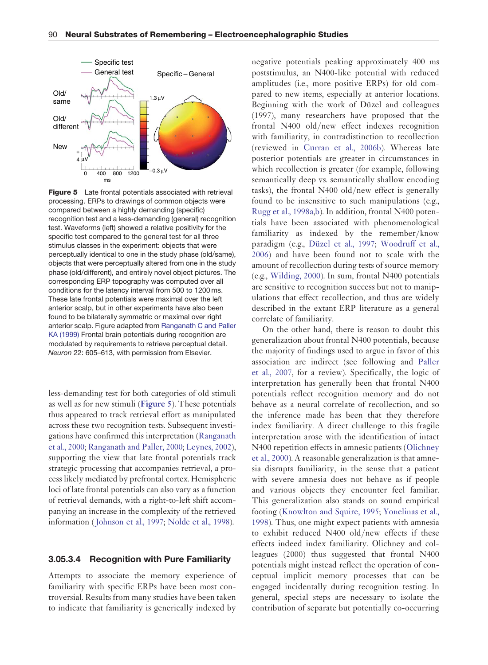

**Figure 5** Late frontal potentials associated with retrieval processing. ERPs to drawings of common objects were compared between a highly demanding (specific) recognition test and a less-demanding (general) recognition test. Waveforms (left) showed a relative positivity for the specific test compared to the general test for all three stimulus classes in the experiment: objects that were perceptually identical to one in the study phase (old/same), objects that were perceptually altered from one in the study phase (old/different), and entirely novel object pictures. The corresponding ERP topography was computed over all conditions for the latency interval from 500 to 1200 ms. These late frontal potentials were maximal over the left anterior scalp, but in other experiments have also been found to be bilaterally symmetric or maximal over right anterior scalp. Figure adapted from [Ranganath C and Paller](#page-17-0) [KA \(1999\)](#page-17-0) Frontal brain potentials during recognition are modulated by requirements to retrieve perceptual detail. Neuron 22: 605–613, with permission from Elsevier.

less-demanding test for both categories of old stimuli as well as for new stimuli (**Figure 5**). These potentials thus appeared to track retrieval effort as manipulated across these two recognition tests. Subsequent investigations have confirmed this interpretation ([Ranganath](#page-17-0) [et al., 2000](#page-17-0); [Ranganath and Paller, 2000;](#page-17-0) [Leynes, 2002](#page-17-0)), supporting the view that late frontal potentials track strategic processing that accompanies retrieval, a process likely mediated by prefrontal cortex. Hemispheric loci of late frontal potentials can also vary as a function of retrieval demands, with a right-to-left shift accompanying an increase in the complexity of the retrieved information ( [Johnson et al., 1997](#page-17-0); [Nolde et al., 1998](#page-17-0)).

#### 3.05.3.4 Recognition with Pure Familiarity

Attempts to associate the memory experience of familiarity with specific ERPs have been most controversial. Results from many studies have been taken to indicate that familiarity is generically indexed by negative potentials peaking approximately 400 ms poststimulus, an N400-like potential with reduced amplitudes (i.e., more positive ERPs) for old compared to new items, especially at anterior locations. Beginning with the work of Düzel and colleagues (1997), many researchers have proposed that the frontal N400 old/new effect indexes recognition with familiarity, in contradistinction to recollection (reviewed in [Curran et al., 2006b](#page-16-0)). Whereas late posterior potentials are greater in circumstances in which recollection is greater (for example, following semantically deep vs. semantically shallow encoding tasks), the frontal N400 old/new effect is generally found to be insensitive to such manipulations (e.g., [Rugg et al., 1998a,b\)](#page-17-0). In addition, frontal N400 potentials have been associated with phenomenological familiarity as indexed by the remember/know paradigm (e.g., Düzel et al., 1997; [Woodruff et al.,](#page-18-0) [2006\)](#page-18-0) and have been found not to scale with the amount of recollection during tests of source memory (e.g., [Wilding, 2000\)](#page-18-0). In sum, frontal N400 potentials are sensitive to recognition success but not to manipulations that effect recollection, and thus are widely described in the extant ERP literature as a general correlate of familiarity.

On the other hand, there is reason to doubt this generalization about frontal N400 potentials, because the majority of findings used to argue in favor of this association are indirect (see following and [Paller](#page-17-0) [et al., 2007,](#page-17-0) for a review). Specifically, the logic of interpretation has generally been that frontal N400 potentials reflect recognition memory and do not behave as a neural correlate of recollection, and so the inference made has been that they therefore index familiarity. A direct challenge to this fragile interpretation arose with the identification of intact N400 repetition effects in amnesic patients ([Olichney](#page-17-0) [et al., 2000\)](#page-17-0). A reasonable generalization is that amnesia disrupts familiarity, in the sense that a patient with severe amnesia does not behave as if people and various objects they encounter feel familiar. This generalization also stands on sound empirical footing ([Knowlton and Squire, 1995](#page-17-0); [Yonelinas et al.,](#page-18-0) [1998\)](#page-18-0). Thus, one might expect patients with amnesia to exhibit reduced N400 old/new effects if these effects indeed index familiarity. Olichney and colleagues (2000) thus suggested that frontal N400 potentials might instead reflect the operation of conceptual implicit memory processes that can be engaged incidentally during recognition testing. In general, special steps are necessary to isolate the contribution of separate but potentially co-occurring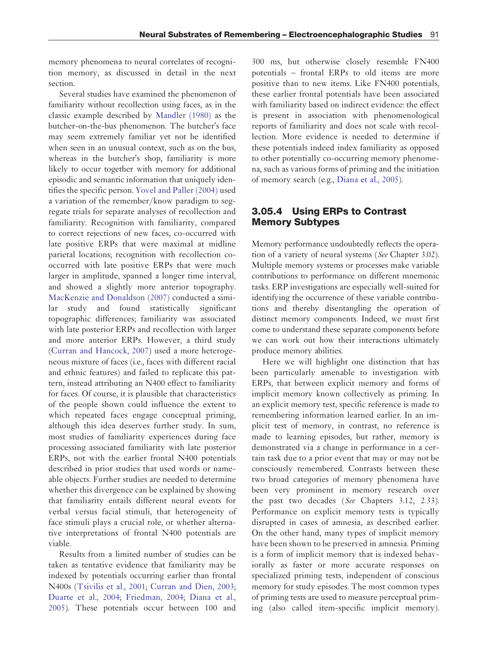memory phenomena to neural correlates of recognition memory, as discussed in detail in the next section.

Several studies have examined the phenomenon of familiarity without recollection using faces, as in the classic example described by [Mandler \(1980\)](#page-17-0) as the butcher-on-the-bus phenomenon. The butcher's face may seem extremely familiar yet not be identified when seen in an unusual context, such as on the bus, whereas in the butcher's shop, familiarity is more likely to occur together with memory for additional episodic and semantic information that uniquely identifies the specific person. [Yovel and Paller \(2004\)](#page-18-0) used a variation of the remember/know paradigm to segregate trials for separate analyses of recollection and familiarity. Recognition with familiarity, compared to correct rejections of new faces, co-occurred with late positive ERPs that were maximal at midline parietal locations; recognition with recollection cooccurred with late positive ERPs that were much larger in amplitude, spanned a longer time interval, and showed a slightly more anterior topography. [MacKenzie and Donaldson \(2007\)](#page-17-0) conducted a similar study and found statistically significant topographic differences; familiarity was associated with late posterior ERPs and recollection with larger and more anterior ERPs. However, a third study [\(Curran and Hancock, 2007\)](#page-16-0) used a more heterogeneous mixture of faces (i.e., faces with different racial and ethnic features) and failed to replicate this pattern, instead attributing an N400 effect to familiarity for faces. Of course, it is plausible that characteristics of the people shown could influence the extent to which repeated faces engage conceptual priming, although this idea deserves further study. In sum, most studies of familiarity experiences during face processing associated familiarity with late posterior ERPs, not with the earlier frontal N400 potentials described in prior studies that used words or nameable objects. Further studies are needed to determine whether this divergence can be explained by showing that familiarity entails different neural events for verbal versus facial stimuli, that heterogeneity of face stimuli plays a crucial role, or whether alternative interpretations of frontal N400 potentials are viable.

Results from a limited number of studies can be taken as tentative evidence that familiarity may be indexed by potentials occurring earlier than frontal N400s ([Tsivilis et al., 2001;](#page-18-0) [Curran and Dien, 2003](#page-16-0); [Duarte et al., 2004](#page-16-0); [Friedman, 2004;](#page-16-0) [Diana et al.,](#page-16-0) [2005\)](#page-16-0). These potentials occur between 100 and 300 ms, but otherwise closely resemble FN400 potentials – frontal ERPs to old items are more positive than to new items. Like FN400 potentials, these earlier frontal potentials have been associated with familiarity based on indirect evidence: the effect is present in association with phenomenological reports of familiarity and does not scale with recollection. More evidence is needed to determine if these potentials indeed index familiarity as opposed to other potentially co-occurring memory phenomena, such as various forms of priming and the initiation of memory search (e.g., [Diana et al., 2005](#page-16-0)).

# 3.05.4 Using ERPs to Contrast Memory Subtypes

Memory performance undoubtedly reflects the operation of a variety of neural systems (*See* Chapter 3.02). Multiple memory systems or processes make variable contributions to performance on different mnemonic tasks. ERP investigations are especially well-suited for identifying the occurrence of these variable contributions and thereby disentangling the operation of distinct memory components. Indeed, we must first come to understand these separate components before we can work out how their interactions ultimately produce memory abilities.

Here we will highlight one distinction that has been particularly amenable to investigation with ERPs, that between explicit memory and forms of implicit memory known collectively as priming. In an explicit memory test, specific reference is made to remembering information learned earlier. In an implicit test of memory, in contrast, no reference is made to learning episodes, but rather, memory is demonstrated via a change in performance in a certain task due to a prior event that may or may not be consciously remembered. Contrasts between these two broad categories of memory phenomena have been very prominent in memory research over the past two decades (*See* Chapters 3.12, 2.33). Performance on explicit memory tests is typically disrupted in cases of amnesia, as described earlier. On the other hand, many types of implicit memory have been shown to be preserved in amnesia. Priming is a form of implicit memory that is indexed behaviorally as faster or more accurate responses on specialized priming tests, independent of conscious memory for study episodes. The most common types of priming tests are used to measure perceptual priming (also called item-specific implicit memory).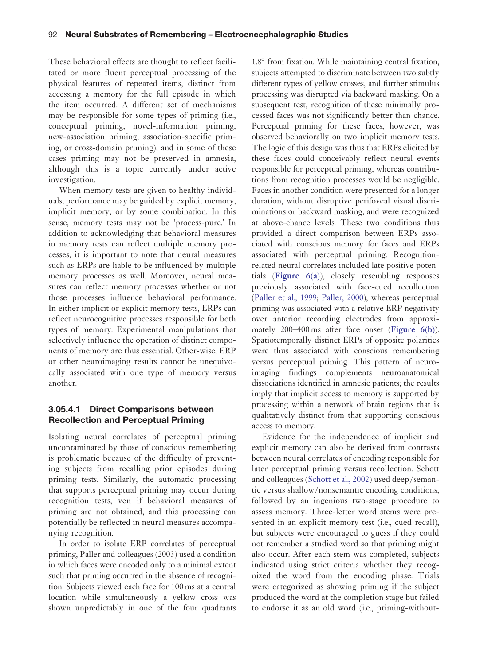These behavioral effects are thought to reflect facilitated or more fluent perceptual processing of the physical features of repeated items, distinct from accessing a memory for the full episode in which the item occurred. A different set of mechanisms may be responsible for some types of priming (i.e., conceptual priming, novel-information priming, new-association priming, association-specific priming, or cross-domain priming), and in some of these cases priming may not be preserved in amnesia, although this is a topic currently under active investigation.

When memory tests are given to healthy individuals, performance may be guided by explicit memory, implicit memory, or by some combination. In this sense, memory tests may not be 'process-pure.' In addition to acknowledging that behavioral measures in memory tests can reflect multiple memory processes, it is important to note that neural measures such as ERPs are liable to be influenced by multiple memory processes as well. Moreover, neural measures can reflect memory processes whether or not those processes influence behavioral performance. In either implicit or explicit memory tests, ERPs can reflect neurocognitive processes responsible for both types of memory. Experimental manipulations that selectively influence the operation of distinct components of memory are thus essential. Other-wise, ERP or other neuroimaging results cannot be unequivocally associated with one type of memory versus another.

#### 3.05.4.1 Direct Comparisons between Recollection and Perceptual Priming

Isolating neural correlates of perceptual priming uncontaminated by those of conscious remembering is problematic because of the difficulty of preventing subjects from recalling prior episodes during priming tests. Similarly, the automatic processing that supports perceptual priming may occur during recognition tests, ven if behavioral measures of priming are not obtained, and this processing can potentially be reflected in neural measures accompanying recognition.

In order to isolate ERP correlates of perceptual priming, Paller and colleagues (2003) used a condition in which faces were encoded only to a minimal extent such that priming occurred in the absence of recognition. Subjects viewed each face for 100 ms at a central location while simultaneously a yellow cross was shown unpredictably in one of the four quadrants 1.8° from fixation. While maintaining central fixation, subjects attempted to discriminate between two subtly different types of yellow crosses, and further stimulus processing was disrupted via backward masking. On a subsequent test, recognition of these minimally processed faces was not significantly better than chance. Perceptual priming for these faces, however, was observed behaviorally on two implicit memory tests. The logic of this design was thus that ERPs elicited by these faces could conceivably reflect neural events responsible for perceptual priming, whereas contributions from recognition processes would be negligible. Faces in another condition were presented for a longer duration, without disruptive perifoveal visual discriminations or backward masking, and were recognized at above-chance levels. These two conditions thus provided a direct comparison between ERPs associated with conscious memory for faces and ERPs associated with perceptual priming. Recognitionrelated neural correlates included late positive potentials (**[Figure 6\(a\)](#page-14-0)**), closely resembling responses previously associated with face-cued recollection [\(Paller et al., 1999](#page-17-0); [Paller, 2000\)](#page-17-0), whereas perceptual priming was associated with a relative ERP negativity over anterior recording electrodes from approximately 200–400 ms after face onset (**[Figure 6\(b\)](#page-14-0)**). Spatiotemporally distinct ERPs of opposite polarities were thus associated with conscious remembering versus perceptual priming. This pattern of neuroimaging findings complements neuroanatomical dissociations identified in amnesic patients; the results imply that implicit access to memory is supported by processing within a network of brain regions that is qualitatively distinct from that supporting conscious access to memory.

Evidence for the independence of implicit and explicit memory can also be derived from contrasts between neural correlates of encoding responsible for later perceptual priming versus recollection. Schott and colleagues ([Schott et al., 2002](#page-17-0)) used deep/semantic versus shallow/nonsemantic encoding conditions, followed by an ingenious two-stage procedure to assess memory. Three-letter word stems were presented in an explicit memory test (i.e., cued recall), but subjects were encouraged to guess if they could not remember a studied word so that priming might also occur. After each stem was completed, subjects indicated using strict criteria whether they recognized the word from the encoding phase. Trials were categorized as showing priming if the subject produced the word at the completion stage but failed to endorse it as an old word (i.e., priming-without-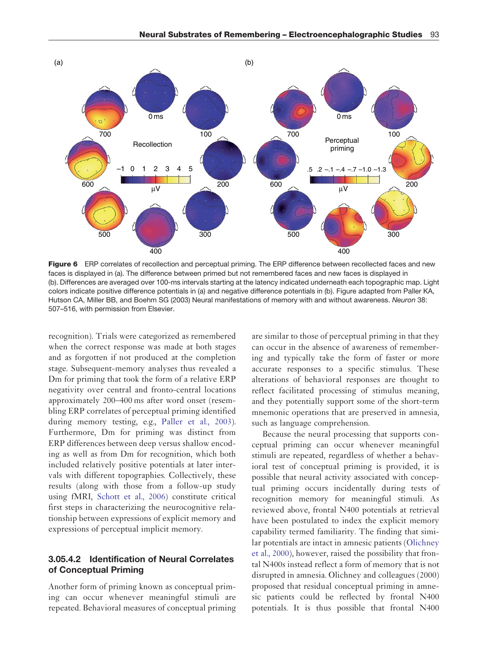<span id="page-14-0"></span>

Figure 6 ERP correlates of recollection and perceptual priming. The ERP difference between recollected faces and new faces is displayed in (a). The difference between primed but not remembered faces and new faces is displayed in (b). Differences are averaged over 100-ms intervals starting at the latency indicated underneath each topographic map. Light colors indicate positive difference potentials in (a) and negative difference potentials in (b). Figure adapted from Paller KA, Hutson CA, Miller BB, and Boehm SG (2003) Neural manifestations of memory with and without awareness. Neuron 38: 507–516, with permission from Elsevier.

recognition). Trials were categorized as remembered when the correct response was made at both stages and as forgotten if not produced at the completion stage. Subsequent-memory analyses thus revealed a Dm for priming that took the form of a relative ERP negativity over central and fronto-central locations approximately 200–400 ms after word onset (resembling ERP correlates of perceptual priming identified during memory testing, e.g., [Paller et al., 2003](#page-17-0)). Furthermore, Dm for priming was distinct from ERP differences between deep versus shallow encoding as well as from Dm for recognition, which both included relatively positive potentials at later intervals with different topographies. Collectively, these results (along with those from a follow-up study using fMRI, [Schott et al., 2006](#page-17-0)) constitute critical first steps in characterizing the neurocognitive relationship between expressions of explicit memory and expressions of perceptual implicit memory.

# 3.05.4.2 Identification of Neural Correlates of Conceptual Priming

Another form of priming known as conceptual priming can occur whenever meaningful stimuli are repeated. Behavioral measures of conceptual priming are similar to those of perceptual priming in that they can occur in the absence of awareness of remembering and typically take the form of faster or more accurate responses to a specific stimulus. These alterations of behavioral responses are thought to reflect facilitated processing of stimulus meaning, and they potentially support some of the short-term mnemonic operations that are preserved in amnesia, such as language comprehension.

Because the neural processing that supports conceptual priming can occur whenever meaningful stimuli are repeated, regardless of whether a behavioral test of conceptual priming is provided, it is possible that neural activity associated with conceptual priming occurs incidentally during tests of recognition memory for meaningful stimuli. As reviewed above, frontal N400 potentials at retrieval have been postulated to index the explicit memory capability termed familiarity. The finding that similar potentials are intact in amnesic patients ([Olichney](#page-17-0) [et al., 2000\)](#page-17-0), however, raised the possibility that frontal N400s instead reflect a form of memory that is not disrupted in amnesia. Olichney and colleagues (2000) proposed that residual conceptual priming in amnesic patients could be reflected by frontal N400 potentials. It is thus possible that frontal N400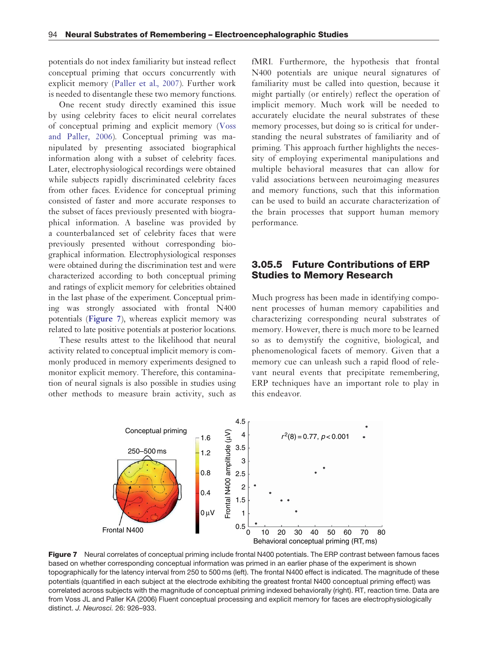potentials do not index familiarity but instead reflect conceptual priming that occurs concurrently with explicit memory ([Paller et al., 2007\)](#page-17-0). Further work is needed to disentangle these two memory functions.

One recent study directly examined this issue by using celebrity faces to elicit neural correlates of conceptual priming and explicit memory ([Voss](#page-18-0) [and Paller, 2006](#page-18-0)). Conceptual priming was manipulated by presenting associated biographical information along with a subset of celebrity faces. Later, electrophysiological recordings were obtained while subjects rapidly discriminated celebrity faces from other faces. Evidence for conceptual priming consisted of faster and more accurate responses to the subset of faces previously presented with biographical information. A baseline was provided by a counterbalanced set of celebrity faces that were previously presented without corresponding biographical information. Electrophysiological responses were obtained during the discrimination test and were characterized according to both conceptual priming and ratings of explicit memory for celebrities obtained in the last phase of the experiment. Conceptual priming was strongly associated with frontal N400 potentials (**Figure 7**), whereas explicit memory was related to late positive potentials at posterior locations.

These results attest to the likelihood that neural activity related to conceptual implicit memory is commonly produced in memory experiments designed to monitor explicit memory. Therefore, this contamination of neural signals is also possible in studies using other methods to measure brain activity, such as fMRI. Furthermore, the hypothesis that frontal N400 potentials are unique neural signatures of familiarity must be called into question, because it might partially (or entirely) reflect the operation of implicit memory. Much work will be needed to accurately elucidate the neural substrates of these memory processes, but doing so is critical for understanding the neural substrates of familiarity and of priming. This approach further highlights the necessity of employing experimental manipulations and multiple behavioral measures that can allow for valid associations between neuroimaging measures and memory functions, such that this information can be used to build an accurate characterization of the brain processes that support human memory performance.

# 3.05.5 Future Contributions of ERP Studies to Memory Research

Much progress has been made in identifying component processes of human memory capabilities and characterizing corresponding neural substrates of memory. However, there is much more to be learned so as to demystify the cognitive, biological, and phenomenological facets of memory. Given that a memory cue can unleash such a rapid flood of relevant neural events that precipitate remembering, ERP techniques have an important role to play in this endeavor.



Figure 7 Neural correlates of conceptual priming include frontal N400 potentials. The ERP contrast between famous faces based on whether corresponding conceptual information was primed in an earlier phase of the experiment is shown topographically for the latency interval from 250 to 500 ms (left). The frontal N400 effect is indicated. The magnitude of these potentials (quantified in each subject at the electrode exhibiting the greatest frontal N400 conceptual priming effect) was correlated across subjects with the magnitude of conceptual priming indexed behaviorally (right). RT, reaction time. Data are from Voss JL and Paller KA (2006) Fluent conceptual processing and explicit memory for faces are electrophysiologically distinct. J. Neurosci. 26: 926–933.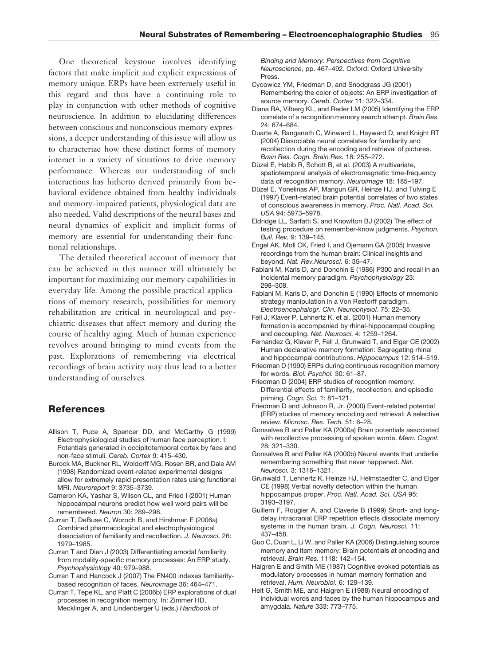<span id="page-16-0"></span>One theoretical keystone involves identifying factors that make implicit and explicit expressions of memory unique. ERPs have been extremely useful in this regard and thus have a continuing role to play in conjunction with other methods of cognitive neuroscience. In addition to elucidating differences between conscious and nonconscious memory expressions, a deeper understanding of this issue will allow us to characterize how these distinct forms of memory interact in a variety of situations to drive memory performance. Whereas our understanding of such interactions has hitherto derived primarily from behavioral evidence obtained from healthy individuals and memory-impaired patients, physiological data are also needed. Valid descriptions of the neural bases and neural dynamics of explicit and implicit forms of memory are essential for understanding their functional relationships.

The detailed theoretical account of memory that can be achieved in this manner will ultimately be important for maximizing our memory capabilities in everyday life. Among the possible practical applications of memory research, possibilities for memory rehabilitation are critical in neurological and psychiatric diseases that affect memory and during the course of healthy aging. Much of human experience revolves around bringing to mind events from the past. Explorations of remembering via electrical recordings of brain activity may thus lead to a better understanding of ourselves.

# References

- Allison T, Puce A, Spencer DD, and McCarthy G (1999) Electrophysiological studies of human face perception. I: Potentials generated in occipitotemporal cortex by face and non-face stimuli. Cereb. Cortex 9: 415–430.
- Burock MA, Buckner RL, Woldorff MG, Rosen BR, and Dale AM (1998) Randomized event-related experimental designs allow for extremely rapid presentation rates using functional MRI. Neuroreport 9: 3735–3739.
- Cameron KA, Yashar S, Wilson CL, and Fried I (2001) Human hippocampal neurons predict how well word pairs will be remembered. Neuron 30: 289–298.
- Curran T, DeBuse C, Woroch B, and Hirshman E (2006a) Combined pharmacological and electrophysiological dissociation of familiarity and recollection. J. Neurosci. 26: 1979–1985.
- Curran T and Dien J (2003) Differentiating amodal familiarity from modality-specific memory processes: An ERP study. Psychophysiology 40: 979–988.
- Curran T and Hancock J (2007) The FN400 indexes familiaritybased recognition of faces. Neuroimage 36: 464–471.
- Curran T, Tepe KL, and Piatt C (2006b) ERP explorations of dual processes in recognition memory. In: Zimmer HD, Mecklinger A, and Lindenberger U (eds.) Handbook of

Binding and Memory: Perspectives from Cognitive Neuroscience, pp. 467–492. Oxford: Oxford University Press.

- Cycowicz YM, Friedman D, and Snodgrass JG (2001) Remembering the color of objects: An ERP investigation of source memory. Cereb. Cortex 11: 322–334.
- Diana RA, Vilberg KL, and Reder LM (2005) Identifying the ERP correlate of a recognition memory search attempt. Brain Res. 24: 674–684.
- Duarte A, Ranganath C, Winward L, Hayward D, and Knight RT (2004) Dissociable neural correlates for familiarity and recollection during the encoding and retrieval of pictures. Brain Res. Cogn. Brain Res. 18: 255–272.
- Düzel E, Habib R, Schott B, et al. (2003) A multivariate, spatiotemporal analysis of electromagnetic time-frequency data of recognition memory. Neuroimage 18: 185–197.
- Düzel E, Yonelinas AP, Mangun GR, Heinze HJ, and Tulving E (1997) Event-related brain potential correlates of two states of conscious awareness in memory. Proc. Natl. Acad. Sci. USA 94: 5973–5978.
- Eldridge LL, Sarfatti S, and Knowlton BJ (2002) The effect of testing procedure on remember-know judgments. Psychon. Bull. Rev. 9: 139–145.
- Engel AK, Moll CK, Fried I, and Ojemann GA (2005) Invasive recordings from the human brain: Clinical insights and beyond. Nat. Rev.Neurosci. 6: 35–47.
- Fabiani M, Karis D, and Donchin E (1986) P300 and recall in an incidental memory paradigm. Psychophysiology 23: 298–308.
- Fabiani M, Karis D, and Donchin E (1990) Effects of mnemonic strategy manipulation in a Von Restorff paradigm. Electroencephalogr. Clin. Neurophysiol. 75: 22–35.
- Fell J, Klaver P, Lehnertz K, et al. (2001) Human memory formation is accompanied by rhinal-hippocampal coupling and decoupling. Nat. Neurosci. 4: 1259–1264.
- Fernandez G, Klaver P, Fell J, Grunwald T, and Elger CE (2002) Human declarative memory formation: Segregating rhinal and hippocampal contributions. Hippocampus 12: 514–519.
- Friedman D (1990) ERPs during continuous recognition memory for words. Biol. Psychol. 30: 61–87.
- Friedman D (2004) ERP studies of recogntion memory: Differential effects of familiarity, recollection, and episodic priming. Cogn. Sci. 1: 81–121.
- Friedman D and Johnson R, Jr. (2000) Event-related potential (ERP) studies of memory encoding and retrieval: A selective review. Microsc. Res. Tech. 51: 6–28.
- Gonsalves B and Paller KA (2000a) Brain potentials associated with recollective processing of spoken words. Mem. Cognit. 28: 321–330.
- Gonsalves B and Paller KA (2000b) Neural events that underlie remembering something that never happened. Nat. Neurosci. 3: 1316–1321.
- Grunwald T, Lehnertz K, Heinze HJ, Helmstaedter C, and Elger CE (1998) Verbal novelty detection within the human hippocampus proper. Proc. Natl. Acad. Sci. USA 95: 3193–3197.
- Guillem F, Rougier A, and Claverie B (1999) Short- and longdelay intracranial ERP repetition effects dissociate memory systems in the human brain. J. Cogn. Neurosci. 11: 437–458.
- Guo C, Duan L, Li W, and Paller KA (2006) Distinguishing source memory and item memory: Brain potentials at encoding and retrieval. Brain Res. 1118: 142–154.
- Halgren E and Smith ME (1987) Cognitive evoked potentials as modulatory processes in human memory formation and retrieval. Hum. Neurobiol. 6: 129–139.
- Heit G, Smith ME, and Halgren E (1988) Neural encoding of individual words and faces by the human hippocampus and amygdala. Nature 333: 773–775.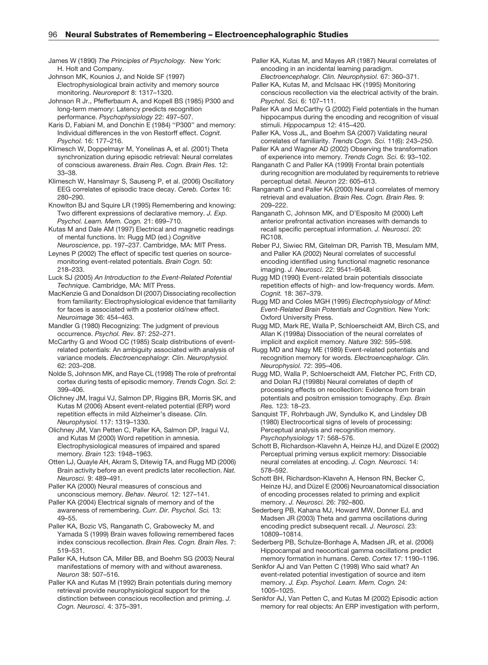<span id="page-17-0"></span>James W (1890) The Principles of Psychology. New York: H. Holt and Company.

Johnson MK, Kounios J, and Nolde SF (1997) Electrophysiological brain activity and memory source monitoring. Neuroreport 8: 1317–1320.

Johnson R Jr., Pfefferbaum A, and Kopell BS (1985) P300 and long-term memory: Latency predicts recognition performance. Psychophysiology 22: 497–507.

Karis D, Fabiani M, and Donchin E (1984) ''P300'' and memory: Individual differences in the von Restorff effect. Cognit. Psychol. 16: 177–216.

Klimesch W, Doppelmayr M, Yonelinas A, et al. (2001) Theta synchronization during episodic retrieval: Neural correlates of conscious awareness. Brain Res. Cogn. Brain Res. 12: 33–38.

Klimesch W, Hanslmayr S, Sauseng P, et al. (2006) Oscillatory EEG correlates of episodic trace decay. Cereb. Cortex 16: 280–290.

Knowlton BJ and Squire LR (1995) Remembering and knowing: Two different expressions of declarative memory. J. Exp. Psychol. Learn. Mem. Cogn. 21: 699–710.

Kutas M and Dale AM (1997) Electrical and magnetic readings of mental functions. In: Rugg MD (ed.) Cognitive Neuroscience, pp. 197–237. Cambridge, MA: MIT Press.

Leynes P (2002) The effect of specific test queries on sourcemonitoring event-related potentials. Brain Cogn. 50: 218–233.

Luck SJ (2005) An Introduction to the Event-Related Potential Technique. Cambridge, MA: MIT Press.

MacKenzie G and Donaldson DI (2007) Dissociating recollection from familiarity: Electrophysiological evidence that familiarity for faces is associated with a posterior old/new effect. Neuroimage 36: 454–463.

Mandler G (1980) Recognizing: The judgment of previous occurrence. Psychol. Rev. 87: 252–271.

McCarthy G and Wood CC (1985) Scalp distributions of eventrelated potentials: An ambiguity associated with analysis of variance models. Electroencephalogr. Clin. Neurophysiol. 62: 203–208.

Nolde S, Johnson MK, and Raye CL (1998) The role of prefrontal cortex during tests of episodic memory. Trends Cogn. Sci. 2: 399–406.

Olichney JM, Iragui VJ, Salmon DP, Riggins BR, Morris SK, and Kutas M (2006) Absent event-related potential (ERP) word repetition effects in mild Alzheimer's disease. Clin. Neurophysiol. 117: 1319–1330.

Olichney JM, Van Petten C, Paller KA, Salmon DP, Iragui VJ, and Kutas M (2000) Word repetition in amnesia. Electrophysiological measures of impaired and spared memory. Brain 123: 1948–1963.

Otten LJ, Quayle AH, Akram S, Ditewig TA, and Rugg MD (2006) Brain activity before an event predicts later recollection. Nat. Neurosci. 9: 489–491.

Paller KA (2000) Neural measures of conscious and unconscious memory. Behav. Neurol. 12: 127–141.

Paller KA (2004) Electrical signals of memory and of the awareness of remembering. Curr. Dir. Psychol. Sci. 13: 49–55.

Paller KA, Bozic VS, Ranganath C, Grabowecky M, and Yamada S (1999) Brain waves following remembered faces index conscious recollection. Brain Res. Cogn. Brain Res. 7: 519–531.

Paller KA, Hutson CA, Miller BB, and Boehm SG (2003) Neural manifestations of memory with and without awareness. Neuron 38: 507–516.

Paller KA and Kutas M (1992) Brain potentials during memory retrieval provide neurophysiological support for the distinction between conscious recollection and priming. J. Cogn. Neurosci. 4: 375–391.

Paller KA, Kutas M, and Mayes AR (1987) Neural correlates of encoding in an incidental learning paradigm. Electroencephalogr. Clin. Neurophysiol. 67: 360–371.

Paller KA, Kutas M, and McIsaac HK (1995) Monitoring conscious recollection via the electrical activity of the brain. Psychol. Sci. 6: 107–111.

Paller KA and McCarthy G (2002) Field potentials in the human hippocampus during the encoding and recognition of visual stimuli. Hippocampus 12: 415–420.

Paller KA, Voss JL, and Boehm SA (2007) Validating neural correlates of familiarity. Trends Cogn. Sci. 11(6): 243–250.

Paller KA and Wagner AD (2002) Observing the transformation of experience into memory. Trends Cogn. Sci. 6: 93–102.

Ranganath C and Paller KA (1999) Frontal brain potentials during recognition are modulated by requirements to retrieve perceptual detail. Neuron 22: 605–613.

Ranganath C and Paller KA (2000) Neural correlates of memory retrieval and evaluation. Brain Res. Cogn. Brain Res. 9: 209–222.

Ranganath C, Johnson MK, and D'Esposito M (2000) Left anterior prefrontal activation increases with demands to recall specific perceptual information. J. Neurosci. 20: RC108.

Reber PJ, Siwiec RM, Gitelman DR, Parrish TB, Mesulam MM, and Paller KA (2002) Neural correlates of successful encoding identified using functional magnetic resonance imaging. J. Neurosci. 22: 9541–9548.

Rugg MD (1990) Event-related brain potentials dissociate repetition effects of high- and low-frequency words. Mem. Cognit. 18: 367–379.

Rugg MD and Coles MGH (1995) Electrophysiology of Mind: Event-Related Brain Potentials and Cognition. New York: Oxford University Press.

Rugg MD, Mark RE, Walla P, Schloerscheidt AM, Birch CS, and Allan K (1998a) Dissociation of the neural correlates of implicit and explicit memory. Nature 392: 595–598.

Rugg MD and Nagy ME (1989) Event-related potentials and recognition memory for words. Electroencephalogr. Clin. Neurophysiol. 72: 395–406.

Rugg MD, Walla P, Schloerscheidt AM, Fletcher PC, Frith CD, and Dolan RJ (1998b) Neural correlates of depth of processing effects on recollection: Evidence from brain potentials and positron emission tomography. Exp. Brain Res. 123: 18–23.

Sanquist TF, Rohrbaugh JW, Syndulko K, and Lindsley DB (1980) Electrocortical signs of levels of processing: Perceptual analysis and recognition memory. Psychophysiology 17: 568–576.

Schott B, Richardson-Klavehn A, Heinze HJ, and Düzel E (2002) Perceptual priming versus explicit memory: Dissociable neural correlates at encoding. J. Cogn. Neurosci. 14: 578–592.

Schott BH, Richardson-Klavehn A, Henson RN, Becker C, Heinze HJ, and Düzel E (2006) Neuroanatomical dissociation of encoding processes related to priming and explicit memory. J. Neurosci. 26: 792–800.

Sederberg PB, Kahana MJ, Howard MW, Donner EJ, and Madsen JR (2003) Theta and gamma oscillations during encoding predict subsequent recall. J. Neurosci. 23: 10809–10814.

Sederberg PB, Schulze-Bonhage A, Madsen JR, et al. (2006) Hippocampal and neocortical gamma oscillations predict memory formation in humans. Cereb. Cortex 17: 1190–1196.

Senkfor AJ and Van Petten C (1998) Who said what? An event-related potential investigation of source and item memory. J. Exp. Psychol. Learn. Mem. Cogn. 24: 1005–1025.

Senkfor AJ, Van Petten C, and Kutas M (2002) Episodic action memory for real objects: An ERP investigation with perform,